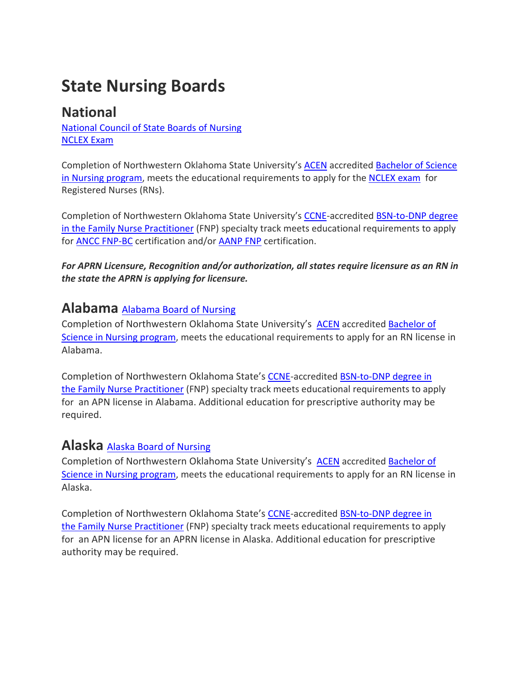# **State Nursing Boards**

# **National**

[National](https://www.ncsbn.org/671.htm) Council of State Boards of Nursing [NCLEX](https://www.ncsbn.org/nclex-application-and-registration.htm) Exam

Completion of Northwestern Oklahoma State University's [ACEN](https://www.acenursing.org/acen-home/-) accredited [Bachelor](https://www.nwosu.edu/school-of-professional-studies/nursing/bachelor-of-science-in-nursing) of Science in Nursing [program,](https://www.nwosu.edu/school-of-professional-studies/nursing/bachelor-of-science-in-nursing) meets the educational requirements to apply for the [NCLEX](https://www.ncsbn.org/nclex-application-and-registration.htm) exam for Registered Nurses (RNs).

Completion of Northwestern Oklahoma State University's [CCNE-](https://www.aacnnursing.org/CCNE)accredited [BSN-to-DNP degree](https://www.nwosu.edu/graduate-studies/bsn-to-dnp) in the [Family Nurse Practitioner](https://www.nwosu.edu/graduate-studies/bsn-to-dnp) (FNP) specialty track meets educational requirements to apply for ANCC [FNP-BC](https://www.nursingworld.org/our-certifications/family-nurse-practitioner/) certification and/or [AANP](https://www.aanpcert.org/certs/qualifications) FNP certification.

*For APRN Licensure, Recognition and/or authorization, all states require licensure as an RN in the state the APRN is applying for licensure.* 

#### **Alabama** [Alabama](https://www.abn.alabama.gov/) Board of Nursing

Completion of Northwestern Oklahoma State University's [ACEN](https://www.acenursing.org/acen-home/-) accredited [Bachelor](https://www.nwosu.edu/school-of-professional-studies/nursing/bachelor-of-science-in-nursing) of Science in Nursing [program,](https://www.nwosu.edu/school-of-professional-studies/nursing/bachelor-of-science-in-nursing) meets the educational requirements to apply for an RN license in Alabama.

Completion of Northwestern Oklahoma State's [CCNE-](https://www.aacnnursing.org/CCNE)accredited [BSN-to-DNP degree in](https://www.nwosu.edu/graduate-studies/bsn-to-dnp)  the [Family Nurse Practitioner](https://www.nwosu.edu/graduate-studies/bsn-to-dnp) (FNP) specialty track meets educational requirements to apply for an APN license in Alabama. Additional education for prescriptive authority may be required.

## **Alaska** Alaska Board of [Nursing](https://www.commerce.alaska.gov/web/cbpl/ProfessionalLicensing/BoardofNursing.aspx)

Completion of Northwestern Oklahoma State University's [ACEN](https://www.acenursing.org/acen-home/-) accredited [Bachelor](https://www.nwosu.edu/school-of-professional-studies/nursing/bachelor-of-science-in-nursing) of Science in Nursing [program,](https://www.nwosu.edu/school-of-professional-studies/nursing/bachelor-of-science-in-nursing) meets the educational requirements to apply for an RN license in Alaska.

Completion of Northwestern Oklahoma State's [CCNE-](https://www.aacnnursing.org/CCNE)accredited [BSN-to-DNP degree in](https://www.nwosu.edu/graduate-studies/bsn-to-dnp)  the [Family Nurse Practitioner](https://www.nwosu.edu/graduate-studies/bsn-to-dnp) (FNP) specialty track meets educational requirements to apply for an APN license for an APRN license in Alaska. Additional education for prescriptive authority may be required.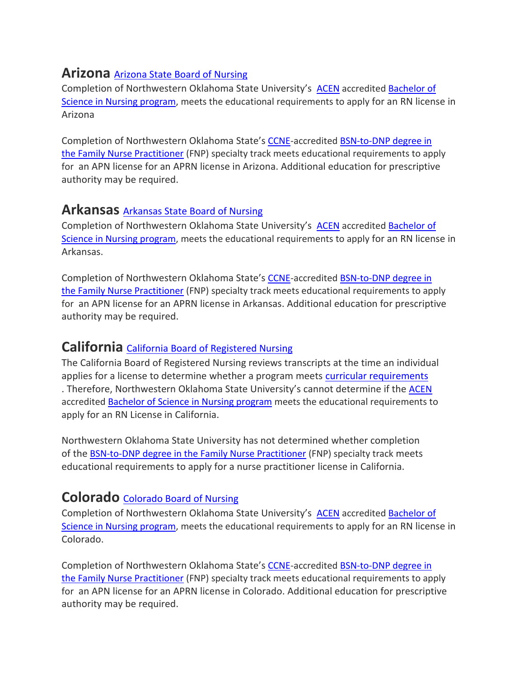# **Arizona** Arizona State Board of [Nursing](https://www.azbn.gov/)

Completion of Northwestern Oklahoma State University's [ACEN](https://www.acenursing.org/acen-home/-) accredited [Bachelor](https://www.nwosu.edu/school-of-professional-studies/nursing/bachelor-of-science-in-nursing) of Science in Nursing [program,](https://www.nwosu.edu/school-of-professional-studies/nursing/bachelor-of-science-in-nursing) meets the educational requirements to apply for an RN license in Arizona

Completion of Northwestern Oklahoma State's [CCNE-](https://www.aacnnursing.org/CCNE)accredited BSN-to-DNP degree in the [Family Nurse Practitioner](https://www.nwosu.edu/graduate-studies/bsn-to-dnp) (FNP) specialty track meets educational requirements to apply for an APN license for an APRN license in Arizona. Additional education for prescriptive authority may be required.

#### **Arkansas** [Arkansas](https://www.arsbn.org/licensing) State Board of Nursing

Completion of Northwestern Oklahoma State University's [ACEN](https://www.acenursing.org/acen-home/-) accredited [Bachelor](https://www.nwosu.edu/school-of-professional-studies/nursing/bachelor-of-science-in-nursing) of Science in Nursing [program,](https://www.nwosu.edu/school-of-professional-studies/nursing/bachelor-of-science-in-nursing) meets the educational requirements to apply for an RN license in Arkansas.

Completion of Northwestern Oklahoma State's [CCNE-](https://www.aacnnursing.org/CCNE)accredited [BSN-to-DNP degree in](https://www.nwosu.edu/graduate-studies/bsn-to-dnp)  the [Family Nurse Practitioner](https://www.nwosu.edu/graduate-studies/bsn-to-dnp) (FNP) specialty track meets educational requirements to apply for an APN license for an APRN license in Arkansas. Additional education for prescriptive authority may be required.

## **California** California Board of [Registered](https://www.rn.ca.gov/) Nursing

The California Board of Registered Nursing reviews transcripts at the time an individual applies for a license to determine whether a program meets curricular [requirements](https://govt.westlaw.com/calregs/Document/ID4BFA30E736B44A99E20EC3DAF9184A7?viewType=FullText&originationContext=documenttoc&transitionType=CategoryPageItem&contextData=(sc.Default)) . Therefore, Northwestern Oklahoma State University's cannot determine if the [ACEN](https://www.acenursing.org/acen-home/-) accredited **[Bachelor](https://www.nwosu.edu/school-of-professional-studies/nursing/bachelor-of-science-in-nursing) of Science in Nursing program** meets the educational requirements to apply for an RN License in California.

Northwestern Oklahoma State University has not determined whether completion of the **[BSN-to-DNP degree in the](https://www.nwosu.edu/graduate-studies/bsn-to-dnp) Family Nurse Practitioner** (FNP) specialty track meets educational requirements to apply for a nurse practitioner license in California.

## **Colorado** [Colorado](https://dpo.colorado.gov/Nursing) Board of Nursing

Completion of Northwestern Oklahoma State University's [ACEN](https://www.acenursing.org/acen-home/-) accredited [Bachelor](https://www.nwosu.edu/school-of-professional-studies/nursing/bachelor-of-science-in-nursing) of Science in Nursing [program,](https://www.nwosu.edu/school-of-professional-studies/nursing/bachelor-of-science-in-nursing) meets the educational requirements to apply for an RN license in Colorado.

Completion of Northwestern Oklahoma State's [CCNE-](https://www.aacnnursing.org/CCNE)accredited [BSN-to-DNP degree in](https://www.nwosu.edu/graduate-studies/bsn-to-dnp)  the [Family Nurse Practitioner](https://www.nwosu.edu/graduate-studies/bsn-to-dnp) (FNP) specialty track meets educational requirements to apply for an APN license for an APRN license in Colorado. Additional education for prescriptive authority may be required.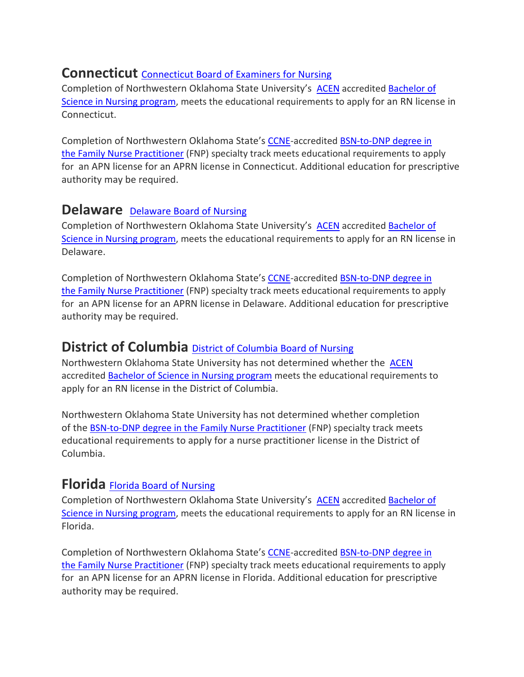## **Connecticut** [Connecticut](https://portal.ct.gov/DPH/Public-Health-Hearing-Office/Board-of-Examiners-for-Nursing/Board-of-Examiners-for-Nursing) Board of Examiners for Nursing

Completion of Northwestern Oklahoma State University's [ACEN](https://www.acenursing.org/acen-home/-) accredited [Bachelor](https://www.nwosu.edu/school-of-professional-studies/nursing/bachelor-of-science-in-nursing) of Science in Nursing [program,](https://www.nwosu.edu/school-of-professional-studies/nursing/bachelor-of-science-in-nursing) meets the educational requirements to apply for an RN license in Connecticut.

Completion of Northwestern Oklahoma State's [CCNE-](https://www.aacnnursing.org/CCNE)accredited BSN-to-DNP degree in the [Family Nurse Practitioner](https://www.nwosu.edu/graduate-studies/bsn-to-dnp) (FNP) specialty track meets educational requirements to apply for an APN license for an APRN license in Connecticut. Additional education for prescriptive authority may be required.

#### **[Delaware](https://dpr.delaware.gov/boards/nursing/)** Delaware Board of Nursing

Completion of Northwestern Oklahoma State University's [ACEN](https://www.acenursing.org/acen-home/-) accredited [Bachelor](https://www.nwosu.edu/school-of-professional-studies/nursing/bachelor-of-science-in-nursing) of Science in Nursing [program,](https://www.nwosu.edu/school-of-professional-studies/nursing/bachelor-of-science-in-nursing) meets the educational requirements to apply for an RN license in Delaware.

Completion of Northwestern Oklahoma State's [CCNE-](https://www.aacnnursing.org/CCNE)accredited [BSN-to-DNP degree in](https://www.nwosu.edu/graduate-studies/bsn-to-dnp)  the [Family Nurse Practitioner](https://www.nwosu.edu/graduate-studies/bsn-to-dnp) (FNP) specialty track meets educational requirements to apply for an APN license for an APRN license in Delaware. Additional education for prescriptive authority may be required.

## **District of Columbia** District of [Columbia](https://dchealth.dc.gov/node/149382) Board of Nursing

Northwestern Oklahoma State University has not determined whether the [ACEN](https://www.acenursing.org/acen-home/-) accredited [Bachelor](https://www.nwosu.edu/school-of-professional-studies/nursing/bachelor-of-science-in-nursing) of Science in Nursing program meets the educational requirements to apply for an RN license in the District of Columbia.

Northwestern Oklahoma State University has not determined whether completion of the [BSN-to-DNP degree in the](https://www.nwosu.edu/graduate-studies/bsn-to-dnp) Family Nurse Practitioner (FNP) specialty track meets educational requirements to apply for a nurse practitioner license in the District of Columbia.

#### **Florida** Florida Board of [Nursing](http://floridasnursing.gov/)

Completion of Northwestern Oklahoma State University's [ACEN](https://www.acenursing.org/acen-home/-) accredited [Bachelor](https://www.nwosu.edu/school-of-professional-studies/nursing/bachelor-of-science-in-nursing) of Science in Nursing [program,](https://www.nwosu.edu/school-of-professional-studies/nursing/bachelor-of-science-in-nursing) meets the educational requirements to apply for an RN license in Florida.

Completion of Northwestern Oklahoma State's [CCNE-](https://www.aacnnursing.org/CCNE)accredited [BSN-to-DNP degree in](https://www.nwosu.edu/graduate-studies/bsn-to-dnp)  the [Family Nurse Practitioner](https://www.nwosu.edu/graduate-studies/bsn-to-dnp) (FNP) specialty track meets educational requirements to apply for an APN license for an APRN license in Florida. Additional education for prescriptive authority may be required.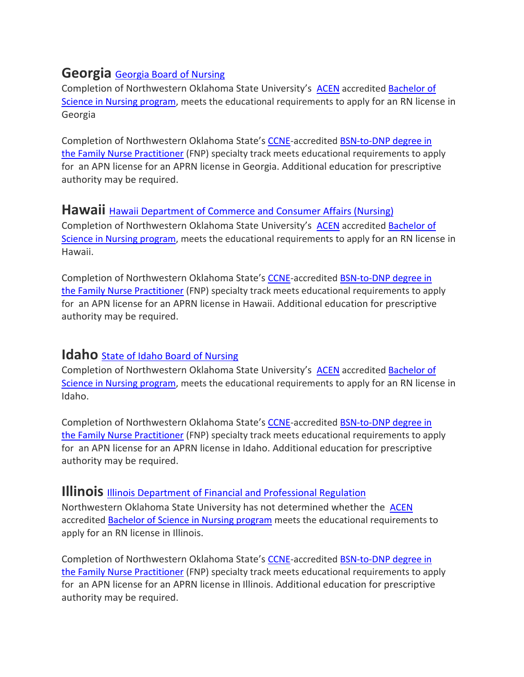# **Georgia** [Georgia](http://sos.ga.gov/index.php/licensing/plb/45) Board of Nursing

Completion of Northwestern Oklahoma State University's [ACEN](https://www.acenursing.org/acen-home/-) accredited [Bachelor](https://www.nwosu.edu/school-of-professional-studies/nursing/bachelor-of-science-in-nursing) of Science in Nursing [program,](https://www.nwosu.edu/school-of-professional-studies/nursing/bachelor-of-science-in-nursing) meets the educational requirements to apply for an RN license in Georgia

Completion of Northwestern Oklahoma State's [CCNE-](https://www.aacnnursing.org/CCNE)accredited BSN-to-DNP degree in the [Family Nurse Practitioner](https://www.nwosu.edu/graduate-studies/bsn-to-dnp) (FNP) specialty track meets educational requirements to apply for an APN license for an APRN license in Georgia. Additional education for prescriptive authority may be required.

#### **Hawaii** Hawaii [Department](http://cca.hawaii.gov/pvl/boards/nursing/) of Commerce and Consumer Affairs (Nursing)

Completion of Northwestern Oklahoma State University's [ACEN](https://www.acenursing.org/acen-home/-) accredited [Bachelor](https://www.nwosu.edu/school-of-professional-studies/nursing/bachelor-of-science-in-nursing) of Science in Nursing [program,](https://www.nwosu.edu/school-of-professional-studies/nursing/bachelor-of-science-in-nursing) meets the educational requirements to apply for an RN license in Hawaii.

Completion of Northwestern Oklahoma State's [CCNE-](https://www.aacnnursing.org/CCNE)accredited [BSN-to-DNP degree in](https://www.nwosu.edu/graduate-studies/bsn-to-dnp)  the [Family Nurse Practitioner](https://www.nwosu.edu/graduate-studies/bsn-to-dnp) (FNP) specialty track meets educational requirements to apply for an APN license for an APRN license in Hawaii. Additional education for prescriptive authority may be required.

#### **Idaho** State of Idaho Board of Nursing

Completion of Northwestern Oklahoma State University's [ACEN](https://www.acenursing.org/acen-home/-) accredited [Bachelor](https://www.nwosu.edu/school-of-professional-studies/nursing/bachelor-of-science-in-nursing) of Science in Nursing [program,](https://www.nwosu.edu/school-of-professional-studies/nursing/bachelor-of-science-in-nursing) meets the educational requirements to apply for an RN license in Idaho.

Completion of Northwestern Oklahoma State's [CCNE-](https://www.aacnnursing.org/CCNE)accredited [BSN-to-DNP degree in](https://www.nwosu.edu/graduate-studies/bsn-to-dnp)  the [Family Nurse Practitioner](https://www.nwosu.edu/graduate-studies/bsn-to-dnp) (FNP) specialty track meets educational requirements to apply for an APN license for an APRN license in Idaho. Additional education for prescriptive authority may be required.

#### **Illinois** Illinois Department of Financial and [Professional](http://www.idfpr.com/profs/Nursing.asp) Regulation

Northwestern Oklahoma State University has not determined whether the **[ACEN](https://www.acenursing.org/acen-home/-)** accredited [Bachelor](https://www.nwosu.edu/school-of-professional-studies/nursing/bachelor-of-science-in-nursing) of Science in Nursing program meets the educational requirements to apply for an RN license in Illinois.

Completion of Northwestern Oklahoma State's [CCNE-](https://www.aacnnursing.org/CCNE)accredited [BSN-to-DNP degree in](https://www.nwosu.edu/graduate-studies/bsn-to-dnp)  the [Family Nurse Practitioner](https://www.nwosu.edu/graduate-studies/bsn-to-dnp) (FNP) specialty track meets educational requirements to apply for an APN license for an APRN license in Illinois. Additional education for prescriptive authority may be required.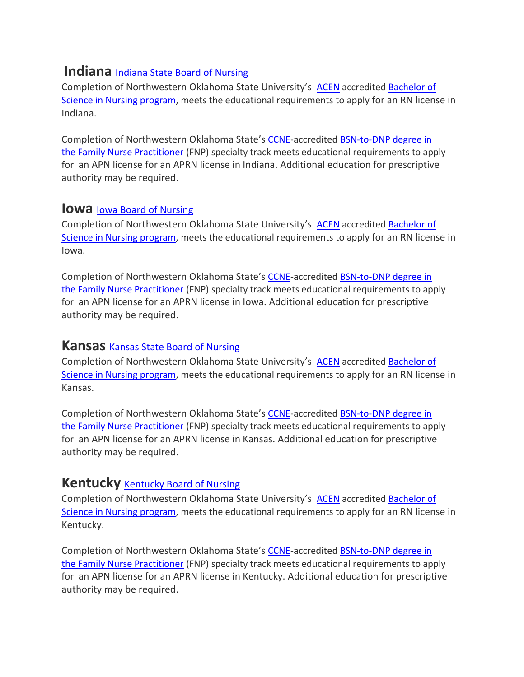## **Indiana** Indiana State Board of Nursing

Completion of Northwestern Oklahoma State University's [ACEN](https://www.acenursing.org/acen-home/-) accredited [Bachelor](https://www.nwosu.edu/school-of-professional-studies/nursing/bachelor-of-science-in-nursing) of Science in Nursing [program,](https://www.nwosu.edu/school-of-professional-studies/nursing/bachelor-of-science-in-nursing) meets the educational requirements to apply for an RN license in Indiana.

Completion of Northwestern Oklahoma State's [CCNE-](https://www.aacnnursing.org/CCNE)accredited [BSN-to-DNP degree in](https://www.nwosu.edu/graduate-studies/bsn-to-dnp)  the [Family Nurse Practitioner](https://www.nwosu.edu/graduate-studies/bsn-to-dnp) (FNP) specialty track meets educational requirements to apply for an APN license for an APRN license in Indiana. Additional education for prescriptive authority may be required.

#### **IOWA** Iowa Board of Nursing

Completion of Northwestern Oklahoma State University's [ACEN](https://www.acenursing.org/acen-home/-) accredited [Bachelor](https://www.nwosu.edu/school-of-professional-studies/nursing/bachelor-of-science-in-nursing) of Science in Nursing [program,](https://www.nwosu.edu/school-of-professional-studies/nursing/bachelor-of-science-in-nursing) meets the educational requirements to apply for an RN license in Iowa.

Completion of Northwestern Oklahoma State's [CCNE-](https://www.aacnnursing.org/CCNE)accredited [BSN-to-DNP degree in](https://www.nwosu.edu/graduate-studies/bsn-to-dnp)  the [Family Nurse Practitioner](https://www.nwosu.edu/graduate-studies/bsn-to-dnp) (FNP) specialty track meets educational requirements to apply for an APN license for an APRN license in Iowa. Additional education for prescriptive authority may be required.

#### **Kansas** Kansas State Board of [Nursing](https://ksbn.kansas.gov/)

Completion of Northwestern Oklahoma State University's [ACEN](https://www.acenursing.org/acen-home/-) accredited [Bachelor](https://www.nwosu.edu/school-of-professional-studies/nursing/bachelor-of-science-in-nursing) of Science in Nursing [program,](https://www.nwosu.edu/school-of-professional-studies/nursing/bachelor-of-science-in-nursing) meets the educational requirements to apply for an RN license in Kansas.

Completion of Northwestern Oklahoma State's [CCNE-](https://www.aacnnursing.org/CCNE)accredited [BSN-to-DNP degree in](https://www.nwosu.edu/graduate-studies/bsn-to-dnp)  the [Family Nurse Practitioner](https://www.nwosu.edu/graduate-studies/bsn-to-dnp) (FNP) specialty track meets educational requirements to apply for an APN license for an APRN license in Kansas. Additional education for prescriptive authority may be required.

#### **[Kentucky](https://kbn.ky.gov/Pages/default.aspx)** Kentucky Board of Nursing

Completion of Northwestern Oklahoma State University's [ACEN](https://www.acenursing.org/acen-home/-) accredited [Bachelor](https://www.nwosu.edu/school-of-professional-studies/nursing/bachelor-of-science-in-nursing) of Science in Nursing [program,](https://www.nwosu.edu/school-of-professional-studies/nursing/bachelor-of-science-in-nursing) meets the educational requirements to apply for an RN license in Kentucky.

Completion of Northwestern Oklahoma State's [CCNE-](https://www.aacnnursing.org/CCNE)accredited [BSN-to-DNP degree in](https://www.nwosu.edu/graduate-studies/bsn-to-dnp)  the [Family Nurse Practitioner](https://www.nwosu.edu/graduate-studies/bsn-to-dnp) (FNP) specialty track meets educational requirements to apply for an APN license for an APRN license in Kentucky. Additional education for prescriptive authority may be required.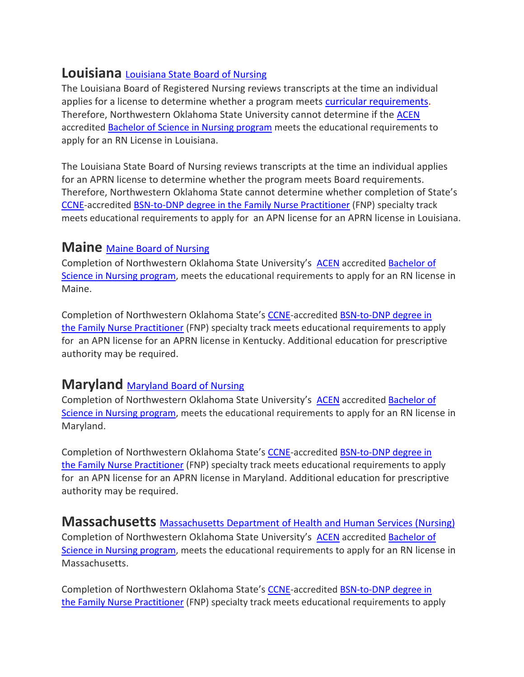## **Louisiana** [Louisiana](http://www.lsbn.state.la.us/) State Board of Nursing

The Louisiana Board of Registered Nursing reviews transcripts at the time an individual applies for a license to determine whether a program meets curricular [requirements.](https://govt.westlaw.com/calregs/Document/ID4BFA30E736B44A99E20EC3DAF9184A7?viewType=FullText&originationContext=documenttoc&transitionType=CategoryPageItem&contextData=(sc.Default)) Therefore, Northwestern Oklahoma State University cannot determine if the [ACEN](https://www.acenursing.org/acen-home/-) accredited [Bachelor](https://www.nwosu.edu/school-of-professional-studies/nursing/bachelor-of-science-in-nursing) of Science in Nursing program meets the educational requirements to apply for an RN License in Louisiana.

The Louisiana State Board of Nursing reviews transcripts at the time an individual applies for an APRN license to determine whether the program meets Board requirements. Therefore, Northwestern Oklahoma State cannot determine whether completion of State's [CCNE-](https://www.aacnnursing.org/CCNE)accredited [BSN-to-DNP degree in the](https://www.nwosu.edu/graduate-studies/bsn-to-dnp) Family Nurse Practitioner (FNP) specialty track meets educational requirements to apply for an APN license for an APRN license in Louisiana.

## **Maine** Maine Board of [Nursing](http://www.maine.gov/boardofnursing/)

Completion of Northwestern Oklahoma State University's [ACEN](https://www.acenursing.org/acen-home/-) accredited [Bachelor](https://www.nwosu.edu/school-of-professional-studies/nursing/bachelor-of-science-in-nursing) of Science in Nursing [program,](https://www.nwosu.edu/school-of-professional-studies/nursing/bachelor-of-science-in-nursing) meets the educational requirements to apply for an RN license in Maine.

Completion of Northwestern Oklahoma State's [CCNE-](https://www.aacnnursing.org/CCNE)accredited [BSN-to-DNP degree in](https://www.nwosu.edu/graduate-studies/bsn-to-dnp)  the [Family Nurse Practitioner](https://www.nwosu.edu/graduate-studies/bsn-to-dnp) (FNP) specialty track meets educational requirements to apply for an APN license for an APRN license in Kentucky. Additional education for prescriptive authority may be required.

## **Maryland** [Maryland](http://mbon.maryland.gov/Pages/default.aspx) Board of Nursing

Completion of Northwestern Oklahoma State University's [ACEN](https://www.acenursing.org/acen-home/-) accredited [Bachelor](https://www.nwosu.edu/school-of-professional-studies/nursing/bachelor-of-science-in-nursing) of Science in Nursing [program,](https://www.nwosu.edu/school-of-professional-studies/nursing/bachelor-of-science-in-nursing) meets the educational requirements to apply for an RN license in Maryland.

Completion of Northwestern Oklahoma State's [CCNE-](https://www.aacnnursing.org/CCNE)accredited [BSN-to-DNP degree in](https://www.nwosu.edu/graduate-studies/bsn-to-dnp)  the [Family Nurse Practitioner](https://www.nwosu.edu/graduate-studies/bsn-to-dnp) (FNP) specialty track meets educational requirements to apply for an APN license for an APRN license in Maryland. Additional education for prescriptive authority may be required.

**Massachusetts** [Massachusetts](http://www.mass.gov/eohhs/gov/departments/dph/programs/hcq/dhpl/nursing/) Department of Health and Human Services (Nursing) Completion of Northwestern Oklahoma State University's [ACEN](https://www.acenursing.org/acen-home/-) accredited [Bachelor](https://www.nwosu.edu/school-of-professional-studies/nursing/bachelor-of-science-in-nursing) of Science in Nursing [program,](https://www.nwosu.edu/school-of-professional-studies/nursing/bachelor-of-science-in-nursing) meets the educational requirements to apply for an RN license in Massachusetts.

Completion of Northwestern Oklahoma State's [CCNE-](https://www.aacnnursing.org/CCNE)accredited [BSN-to-DNP degree in](https://www.nwosu.edu/graduate-studies/bsn-to-dnp)  the [Family Nurse Practitioner](https://www.nwosu.edu/graduate-studies/bsn-to-dnp) (FNP) specialty track meets educational requirements to apply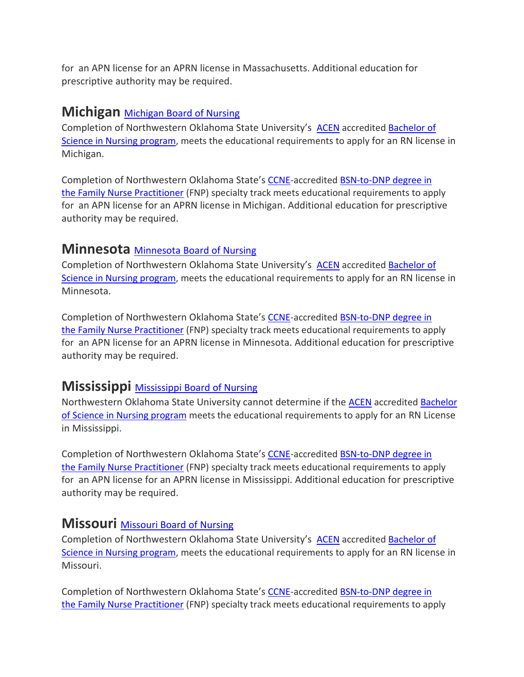for an APN license for an APRN license in Massachusetts. Additional education for prescriptive authority may be required.

#### **Michigan** [Michigan](http://www.michigan.gov/lara/0,4601,7-154-72600_72603_27529_27542---,00.html) Board of Nursing

Completion of Northwestern Oklahoma State University's [ACEN](https://www.acenursing.org/acen-home/-) accredited [Bachelor](https://www.nwosu.edu/school-of-professional-studies/nursing/bachelor-of-science-in-nursing) of Science in Nursing [program,](https://www.nwosu.edu/school-of-professional-studies/nursing/bachelor-of-science-in-nursing) meets the educational requirements to apply for an RN license in Michigan.

Completion of Northwestern Oklahoma State's [CCNE-](https://www.aacnnursing.org/CCNE)accredited [BSN-to-DNP degree in](https://www.nwosu.edu/graduate-studies/bsn-to-dnp)  the [Family Nurse Practitioner](https://www.nwosu.edu/graduate-studies/bsn-to-dnp) (FNP) specialty track meets educational requirements to apply for an APN license for an APRN license in Michigan. Additional education for prescriptive authority may be required.

#### **Minnesota** [Minnesota](https://mn.gov/boards/nursing/) Board of Nursing

Completion of Northwestern Oklahoma State University's [ACEN](https://www.acenursing.org/acen-home/-) accredited [Bachelor](https://www.nwosu.edu/school-of-professional-studies/nursing/bachelor-of-science-in-nursing) of Science in Nursing [program,](https://www.nwosu.edu/school-of-professional-studies/nursing/bachelor-of-science-in-nursing) meets the educational requirements to apply for an RN license in Minnesota.

Completion of Northwestern Oklahoma State's [CCNE-](https://www.aacnnursing.org/CCNE)accredited [BSN-to-DNP degree in](https://www.nwosu.edu/graduate-studies/bsn-to-dnp)  the [Family Nurse Practitioner](https://www.nwosu.edu/graduate-studies/bsn-to-dnp) (FNP) specialty track meets educational requirements to apply for an APN license for an APRN license in Minnesota. Additional education for prescriptive authority may be required.

# **[Mississippi](https://www.msbn.ms.gov/)** Mississippi Board of Nursing

Northwestern Oklahoma State University cannot determine if the [ACEN](https://www.acenursing.org/acen-home/-) accredited [Bachelor](https://www.nwosu.edu/school-of-professional-studies/nursing/bachelor-of-science-in-nursing) of Science in Nursing [program](https://www.nwosu.edu/school-of-professional-studies/nursing/bachelor-of-science-in-nursing) meets the educational requirements to apply for an RN License in Mississippi.

Completion of Northwestern Oklahoma State's [CCNE-](https://www.aacnnursing.org/CCNE)accredited [BSN-to-DNP degree in](https://www.nwosu.edu/graduate-studies/bsn-to-dnp)  the [Family Nurse Practitioner](https://www.nwosu.edu/graduate-studies/bsn-to-dnp) (FNP) specialty track meets educational requirements to apply for an APN license for an APRN license in Mississippi. Additional education for prescriptive authority may be required.

## **Missouri** [Missouri](http://www.pr.mo.gov/nursing.asp) Board of Nursing

Completion of Northwestern Oklahoma State University's [ACEN](https://www.acenursing.org/acen-home/-) accredited [Bachelor](https://www.nwosu.edu/school-of-professional-studies/nursing/bachelor-of-science-in-nursing) of Science in Nursing [program,](https://www.nwosu.edu/school-of-professional-studies/nursing/bachelor-of-science-in-nursing) meets the educational requirements to apply for an RN license in Missouri.

Completion of Northwestern Oklahoma State's [CCNE-](https://www.aacnnursing.org/CCNE)accredited **BSN-to-DNP** degree in the [Family Nurse Practitioner](https://www.nwosu.edu/graduate-studies/bsn-to-dnp) (FNP) specialty track meets educational requirements to apply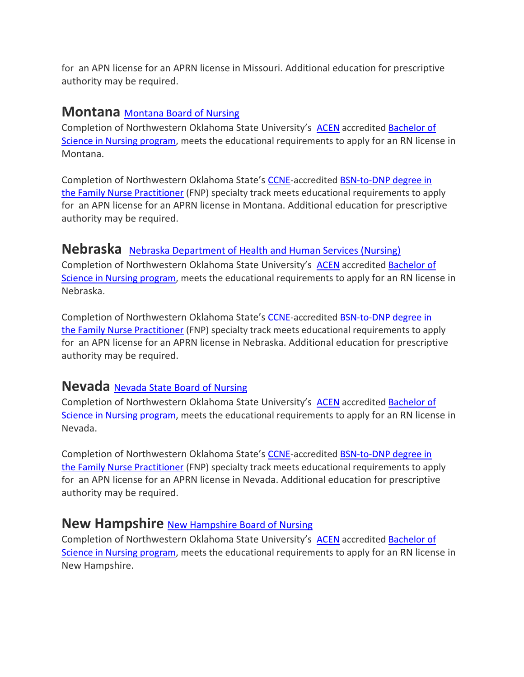for an APN license for an APRN license in Missouri. Additional education for prescriptive authority may be required.

#### **Montana** [Montana](http://boards.bsd.dli.mt.gov/nur) Board of Nursing

Completion of Northwestern Oklahoma State University's [ACEN](https://www.acenursing.org/acen-home/-) accredited [Bachelor](https://www.nwosu.edu/school-of-professional-studies/nursing/bachelor-of-science-in-nursing) of Science in Nursing [program,](https://www.nwosu.edu/school-of-professional-studies/nursing/bachelor-of-science-in-nursing) meets the educational requirements to apply for an RN license in Montana.

Completion of Northwestern Oklahoma State's [CCNE-](https://www.aacnnursing.org/CCNE)accredited [BSN-to-DNP degree in](https://www.nwosu.edu/graduate-studies/bsn-to-dnp)  the [Family Nurse Practitioner](https://www.nwosu.edu/graduate-studies/bsn-to-dnp) (FNP) specialty track meets educational requirements to apply for an APN license for an APRN license in Montana. Additional education for prescriptive authority may be required.

## **Nebraska** Nebraska [Department](http://dhhs.ne.gov/licensure/Pages/Nurse-Licensing.aspx) of Health and Human Services (Nursing)

Completion of Northwestern Oklahoma State University's [ACEN](https://www.acenursing.org/acen-home/-) accredited [Bachelor](https://www.nwosu.edu/school-of-professional-studies/nursing/bachelor-of-science-in-nursing) of Science in Nursing [program,](https://www.nwosu.edu/school-of-professional-studies/nursing/bachelor-of-science-in-nursing) meets the educational requirements to apply for an RN license in Nebraska.

Completion of Northwestern Oklahoma State's [CCNE-](https://www.aacnnursing.org/CCNE)accredited [BSN-to-DNP degree in](https://www.nwosu.edu/graduate-studies/bsn-to-dnp)  the [Family Nurse Practitioner](https://www.nwosu.edu/graduate-studies/bsn-to-dnp) (FNP) specialty track meets educational requirements to apply for an APN license for an APRN license in Nebraska. Additional education for prescriptive authority may be required.

#### **Nevada** Nevada State Board of [Nursing](http://nevadanursingboard.org/)

Completion of Northwestern Oklahoma State University's [ACEN](https://www.acenursing.org/acen-home/-) accredited [Bachelor](https://www.nwosu.edu/school-of-professional-studies/nursing/bachelor-of-science-in-nursing) of Science in Nursing [program,](https://www.nwosu.edu/school-of-professional-studies/nursing/bachelor-of-science-in-nursing) meets the educational requirements to apply for an RN license in Nevada.

Completion of Northwestern Oklahoma State's [CCNE-](https://www.aacnnursing.org/CCNE)accredited [BSN-to-DNP degree in](https://www.nwosu.edu/graduate-studies/bsn-to-dnp)  the [Family Nurse Practitioner](https://www.nwosu.edu/graduate-studies/bsn-to-dnp) (FNP) specialty track meets educational requirements to apply for an APN license for an APRN license in Nevada. Additional education for prescriptive authority may be required.

## **New [Hampshire](http://www.oplc.nh.gov/nursing/index.htm)** New Hampshire Board of Nursing

Completion of Northwestern Oklahoma State University's [ACEN](https://www.acenursing.org/acen-home/-) accredited [Bachelor](https://www.nwosu.edu/school-of-professional-studies/nursing/bachelor-of-science-in-nursing) of Science in Nursing [program,](https://www.nwosu.edu/school-of-professional-studies/nursing/bachelor-of-science-in-nursing) meets the educational requirements to apply for an RN license in New Hampshire.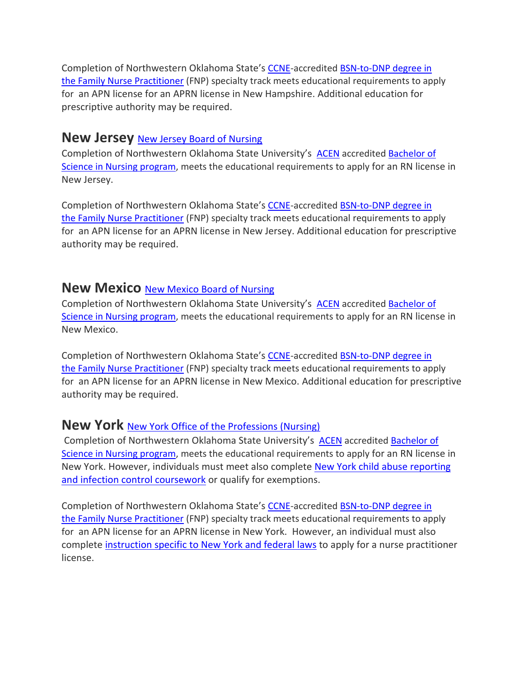Completion of Northwestern Oklahoma State's [CCNE-](https://www.aacnnursing.org/CCNE)accredited [BSN-to-DNP degree in](https://www.nwosu.edu/graduate-studies/bsn-to-dnp)  the [Family Nurse](https://www.nwosu.edu/graduate-studies/bsn-to-dnp) Practitioner (FNP) specialty track meets educational requirements to apply for an APN license for an APRN license in New Hampshire. Additional education for prescriptive authority may be required.

#### **New Jersey** New Jersey Board of [Nursing](http://www.njconsumeraffairs.gov/nur/pages/applications.aspx)

Completion of Northwestern Oklahoma State University's [ACEN](https://www.acenursing.org/acen-home/-) accredited [Bachelor](https://www.nwosu.edu/school-of-professional-studies/nursing/bachelor-of-science-in-nursing) of Science in Nursing [program,](https://www.nwosu.edu/school-of-professional-studies/nursing/bachelor-of-science-in-nursing) meets the educational requirements to apply for an RN license in New Jersey.

Completion of Northwestern Oklahoma State's [CCNE-](https://www.aacnnursing.org/CCNE)accredited [BSN-to-DNP degree in](https://www.nwosu.edu/graduate-studies/bsn-to-dnp)  the [Family Nurse Practitioner](https://www.nwosu.edu/graduate-studies/bsn-to-dnp) (FNP) specialty track meets educational requirements to apply for an APN license for an APRN license in New Jersey. Additional education for prescriptive authority may be required.

### **New Mexico** New Mexico Board of [Nursing](http://nmbon.sks.com/)

Completion of Northwestern Oklahoma State University's [ACEN](https://www.acenursing.org/acen-home/-) accredited [Bachelor](https://www.nwosu.edu/school-of-professional-studies/nursing/bachelor-of-science-in-nursing) of Science in Nursing [program,](https://www.nwosu.edu/school-of-professional-studies/nursing/bachelor-of-science-in-nursing) meets the educational requirements to apply for an RN license in New Mexico.

Completion of Northwestern Oklahoma State's [CCNE-](https://www.aacnnursing.org/CCNE)accredited [BSN-to-DNP degree in](https://www.nwosu.edu/graduate-studies/bsn-to-dnp)  the [Family Nurse Practitioner](https://www.nwosu.edu/graduate-studies/bsn-to-dnp) (FNP) specialty track meets educational requirements to apply for an APN license for an APRN license in New Mexico. Additional education for prescriptive authority may be required.

## **New York** New York Office of the [Professions](http://www.op.nysed.gov/prof/nurse/) (Nursing)

Completion of Northwestern Oklahoma State University's [ACEN](https://www.acenursing.org/acen-home/-) accredited [Bachelor](https://www.nwosu.edu/school-of-professional-studies/nursing/bachelor-of-science-in-nursing) of Science in Nursing [program,](https://www.nwosu.edu/school-of-professional-studies/nursing/bachelor-of-science-in-nursing) meets the educational requirements to apply for an RN license in New York. However, individuals must meet also complete New York child abuse [reporting](http://www.op.nysed.gov/prof/nurse/nursing.htm) and infection control [coursework](http://www.op.nysed.gov/prof/nurse/nursing.htm) or qualify for exemptions.

Completion of Northwestern Oklahoma State's [CCNE-](https://www.aacnnursing.org/CCNE)accredited [BSN-to-DNP degree in](https://www.nwosu.edu/graduate-studies/bsn-to-dnp)  the [Family Nurse Practitioner](https://www.nwosu.edu/graduate-studies/bsn-to-dnp) (FNP) specialty track meets educational requirements to apply for an APN license for an APRN license in New York. However, an individual must also complete [instruction](http://www.op.nysed.gov/prof/nurse/np.htm#additional) specific to New York and federal laws to apply for a nurse practitioner license.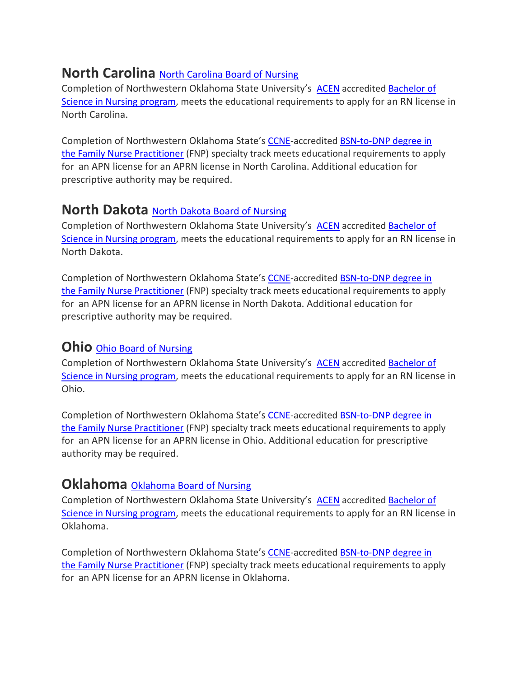# **North Carolina** North Carolina Board of Nursing

Completion of Northwestern Oklahoma State University's [ACEN](https://www.acenursing.org/acen-home/-) accredited [Bachelor](https://www.nwosu.edu/school-of-professional-studies/nursing/bachelor-of-science-in-nursing) of Science in Nursing [program,](https://www.nwosu.edu/school-of-professional-studies/nursing/bachelor-of-science-in-nursing) meets the educational requirements to apply for an RN license in North Carolina.

Completion of Northwestern Oklahoma State's [CCNE-](https://www.aacnnursing.org/CCNE)accredited BSN-to-DNP degree in the [Family Nurse Practitioner](https://www.nwosu.edu/graduate-studies/bsn-to-dnp) (FNP) specialty track meets educational requirements to apply for an APN license for an APRN license in North Carolina. Additional education for prescriptive authority may be required.

## **North Dakota** North Dakota Board of [Nursing](http://www.ndbon.org/)

Completion of Northwestern Oklahoma State University's [ACEN](https://www.acenursing.org/acen-home/-) accredited [Bachelor](https://www.nwosu.edu/school-of-professional-studies/nursing/bachelor-of-science-in-nursing) of Science in Nursing [program,](https://www.nwosu.edu/school-of-professional-studies/nursing/bachelor-of-science-in-nursing) meets the educational requirements to apply for an RN license in North Dakota.

Completion of Northwestern Oklahoma State's [CCNE-](https://www.aacnnursing.org/CCNE)accredited [BSN-to-DNP degree in](https://www.nwosu.edu/graduate-studies/bsn-to-dnp)  the [Family Nurse Practitioner](https://www.nwosu.edu/graduate-studies/bsn-to-dnp) (FNP) specialty track meets educational requirements to apply for an APN license for an APRN license in North Dakota. Additional education for prescriptive authority may be required.

#### **Ohio** Ohio Board of Nursing

Completion of Northwestern Oklahoma State University's [ACEN](https://www.acenursing.org/acen-home/-) accredited [Bachelor](https://www.nwosu.edu/school-of-professional-studies/nursing/bachelor-of-science-in-nursing) of Science in Nursing [program,](https://www.nwosu.edu/school-of-professional-studies/nursing/bachelor-of-science-in-nursing) meets the educational requirements to apply for an RN license in Ohio.

Completion of Northwestern Oklahoma State's [CCNE-](https://www.aacnnursing.org/CCNE)accredited [BSN-to-DNP degree in](https://www.nwosu.edu/graduate-studies/bsn-to-dnp)  the [Family Nurse Practitioner](https://www.nwosu.edu/graduate-studies/bsn-to-dnp) (FNP) specialty track meets educational requirements to apply for an APN license for an APRN license in Ohio. Additional education for prescriptive authority may be required.

#### **[Oklahoma](http://nursing.ok.gov/)** Oklahoma Board of Nursing

Completion of Northwestern Oklahoma State University's [ACEN](https://www.acenursing.org/acen-home/-) accredited [Bachelor](https://www.nwosu.edu/school-of-professional-studies/nursing/bachelor-of-science-in-nursing) of Science in Nursing [program,](https://www.nwosu.edu/school-of-professional-studies/nursing/bachelor-of-science-in-nursing) meets the educational requirements to apply for an RN license in Oklahoma.

Completion of Northwestern Oklahoma State's [CCNE-](https://www.aacnnursing.org/CCNE)accredited [BSN-to-DNP degree in](https://www.nwosu.edu/graduate-studies/bsn-to-dnp)  the [Family Nurse Practitioner](https://www.nwosu.edu/graduate-studies/bsn-to-dnp) (FNP) specialty track meets educational requirements to apply for an APN license for an APRN license in Oklahoma.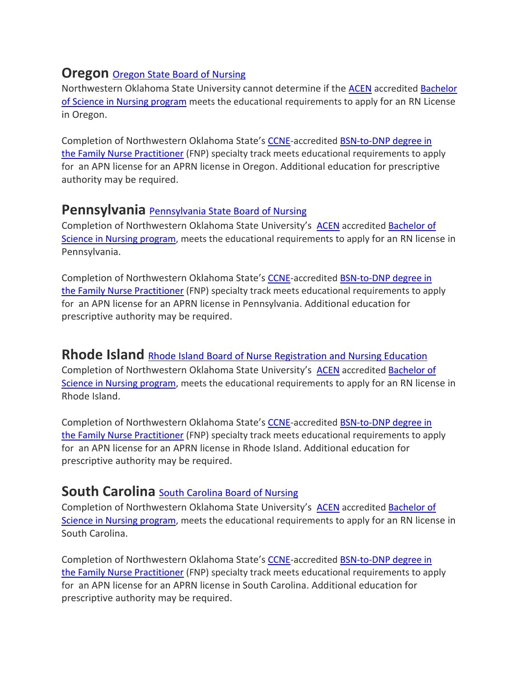# **Oregon** Oregon State Board of Nursing

Northwestern Oklahoma State University cannot determine if the **[ACEN](https://www.acenursing.org/acen-home/-)** accredited **[Bachelor](https://www.nwosu.edu/school-of-professional-studies/nursing/bachelor-of-science-in-nursing)** of Science in Nursing [program](https://www.nwosu.edu/school-of-professional-studies/nursing/bachelor-of-science-in-nursing) meets the educational requirements to apply for an RN License in Oregon.

Completion of Northwestern Oklahoma State's [CCNE-](https://www.aacnnursing.org/CCNE)accredited BSN-to-DNP degree in the [Family Nurse Practitioner](https://www.nwosu.edu/graduate-studies/bsn-to-dnp) (FNP) specialty track meets educational requirements to apply for an APN license for an APRN license in Oregon. Additional education for prescriptive authority may be required.

## **Pennsylvania** [Pennsylvania](http://www.dos.pa.gov/ProfessionalLicensing/BoardsCommissions/Nursing/Pages/default.aspx#.VTEYxCFVhBd) State Board of Nursing

Completion of Northwestern Oklahoma State University's [ACEN](https://www.acenursing.org/acen-home/-) accredited [Bachelor](https://www.nwosu.edu/school-of-professional-studies/nursing/bachelor-of-science-in-nursing) of Science in Nursing [program,](https://www.nwosu.edu/school-of-professional-studies/nursing/bachelor-of-science-in-nursing) meets the educational requirements to apply for an RN license in Pennsylvania.

Completion of Northwestern Oklahoma State's [CCNE-](https://www.aacnnursing.org/CCNE)accredited [BSN-to-DNP degree in](https://www.nwosu.edu/graduate-studies/bsn-to-dnp)  the [Family Nurse Practitioner](https://www.nwosu.edu/graduate-studies/bsn-to-dnp) (FNP) specialty track meets educational requirements to apply for an APN license for an APRN license in Pennsylvania. Additional education for prescriptive authority may be required.

#### **Rhode Island** Rhode Island Board of Nurse [Registration](http://www.health.ri.gov/for/nurses/index.php) and Nursing Education

Completion of Northwestern Oklahoma State University's [ACEN](https://www.acenursing.org/acen-home/-) accredited [Bachelor](https://www.nwosu.edu/school-of-professional-studies/nursing/bachelor-of-science-in-nursing) of Science in Nursing [program,](https://www.nwosu.edu/school-of-professional-studies/nursing/bachelor-of-science-in-nursing) meets the educational requirements to apply for an RN license in Rhode Island.

Completion of Northwestern Oklahoma State's [CCNE-](https://www.aacnnursing.org/CCNE)accredited [BSN-to-DNP degree in](https://www.nwosu.edu/graduate-studies/bsn-to-dnp)  the [Family Nurse Practitioner](https://www.nwosu.edu/graduate-studies/bsn-to-dnp) (FNP) specialty track meets educational requirements to apply for an APN license for an APRN license in Rhode Island. Additional education for prescriptive authority may be required.

#### **South Carolina** South [Carolina](http://www.llr.state.sc.us/pol/nursing) Board of Nursing

Completion of Northwestern Oklahoma State University's [ACEN](https://www.acenursing.org/acen-home/-) accredited [Bachelor](https://www.nwosu.edu/school-of-professional-studies/nursing/bachelor-of-science-in-nursing) of Science in Nursing [program,](https://www.nwosu.edu/school-of-professional-studies/nursing/bachelor-of-science-in-nursing) meets the educational requirements to apply for an RN license in South Carolina.

Completion of Northwestern Oklahoma State's [CCNE-](https://www.aacnnursing.org/CCNE)accredited [BSN-to-DNP degree in](https://www.nwosu.edu/graduate-studies/bsn-to-dnp)  the [Family Nurse Practitioner](https://www.nwosu.edu/graduate-studies/bsn-to-dnp) (FNP) specialty track meets educational requirements to apply for an APN license for an APRN license in South Carolina. Additional education for prescriptive authority may be required.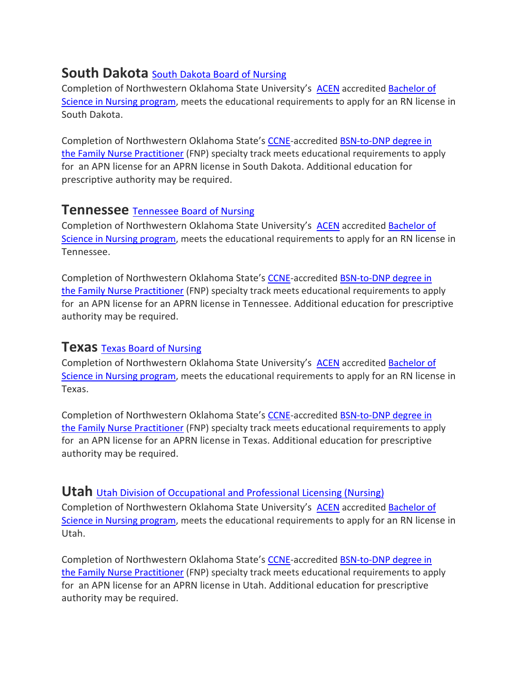# **South Dakota** South Dakota Board of [Nursing](https://doh.sd.gov/boards/nursing/)

Completion of Northwestern Oklahoma State University's [ACEN](https://www.acenursing.org/acen-home/-) accredited [Bachelor](https://www.nwosu.edu/school-of-professional-studies/nursing/bachelor-of-science-in-nursing) of Science in Nursing [program,](https://www.nwosu.edu/school-of-professional-studies/nursing/bachelor-of-science-in-nursing) meets the educational requirements to apply for an RN license in South Dakota.

Completion of Northwestern Oklahoma State's [CCNE-](https://www.aacnnursing.org/CCNE)accredited BSN-to-DNP degree in the [Family Nurse Practitioner](https://www.nwosu.edu/graduate-studies/bsn-to-dnp) (FNP) specialty track meets educational requirements to apply for an APN license for an APRN license in South Dakota. Additional education for prescriptive authority may be required.

#### **Tennessee** [Tennessee](https://www.tn.gov/health/health-program-areas/health-professional-boards/nursing-board/nursing-board/about.html) Board of Nursing

Completion of Northwestern Oklahoma State University's [ACEN](https://www.acenursing.org/acen-home/-) accredited [Bachelor](https://www.nwosu.edu/school-of-professional-studies/nursing/bachelor-of-science-in-nursing) of Science in Nursing [program,](https://www.nwosu.edu/school-of-professional-studies/nursing/bachelor-of-science-in-nursing) meets the educational requirements to apply for an RN license in Tennessee.

Completion of Northwestern Oklahoma State's [CCNE-](https://www.aacnnursing.org/CCNE)accredited [BSN-to-DNP degree in](https://www.nwosu.edu/graduate-studies/bsn-to-dnp)  the [Family Nurse Practitioner](https://www.nwosu.edu/graduate-studies/bsn-to-dnp) (FNP) specialty track meets educational requirements to apply for an APN license for an APRN license in Tennessee. Additional education for prescriptive authority may be required.

#### **Texas** Texas Board of [Nursing](http://www.bon.texas.gov/)

Completion of Northwestern Oklahoma State University's [ACEN](https://www.acenursing.org/acen-home/-) accredited [Bachelor](https://www.nwosu.edu/school-of-professional-studies/nursing/bachelor-of-science-in-nursing) of Science in Nursing [program,](https://www.nwosu.edu/school-of-professional-studies/nursing/bachelor-of-science-in-nursing) meets the educational requirements to apply for an RN license in Texas.

Completion of Northwestern Oklahoma State's [CCNE-](https://www.aacnnursing.org/CCNE)accredited [BSN-to-DNP degree in](https://www.nwosu.edu/graduate-studies/bsn-to-dnp)  the [Family Nurse Practitioner](https://www.nwosu.edu/graduate-studies/bsn-to-dnp) (FNP) specialty track meets educational requirements to apply for an APN license for an APRN license in Texas. Additional education for prescriptive authority may be required.

#### **Utah** Utah Division of [Occupational](https://dopl.utah.gov/nur/index.html) and Professional Licensing (Nursing)

Completion of Northwestern Oklahoma State University's [ACEN](https://www.acenursing.org/acen-home/-) accredited [Bachelor](https://www.nwosu.edu/school-of-professional-studies/nursing/bachelor-of-science-in-nursing) of Science in Nursing [program,](https://www.nwosu.edu/school-of-professional-studies/nursing/bachelor-of-science-in-nursing) meets the educational requirements to apply for an RN license in Utah.

Completion of Northwestern Oklahoma State's [CCNE-](https://www.aacnnursing.org/CCNE)accredited [BSN-to-DNP degree in](https://www.nwosu.edu/graduate-studies/bsn-to-dnp)  the [Family Nurse Practitioner](https://www.nwosu.edu/graduate-studies/bsn-to-dnp) (FNP) specialty track meets educational requirements to apply for an APN license for an APRN license in Utah. Additional education for prescriptive authority may be required.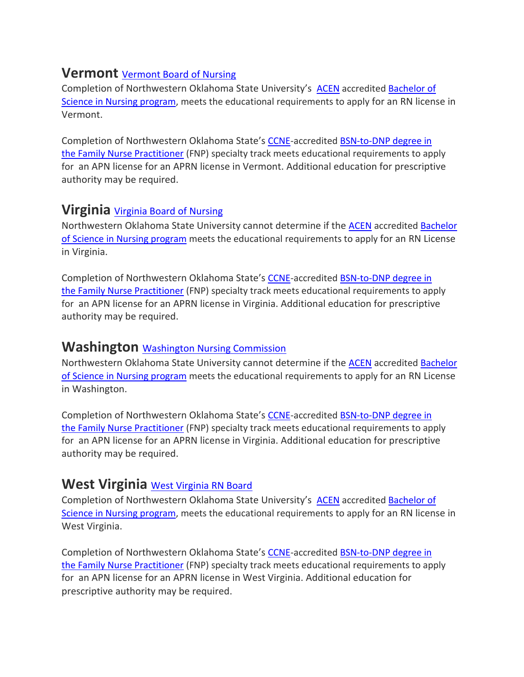# **Vermont** [Vermont](https://sos.vermont.gov/nursing/) Board of Nursing

Completion of Northwestern Oklahoma State University's [ACEN](https://www.acenursing.org/acen-home/-) accredited [Bachelor](https://www.nwosu.edu/school-of-professional-studies/nursing/bachelor-of-science-in-nursing) of Science in Nursing [program,](https://www.nwosu.edu/school-of-professional-studies/nursing/bachelor-of-science-in-nursing) meets the educational requirements to apply for an RN license in Vermont.

Completion of Northwestern Oklahoma State's [CCNE-](https://www.aacnnursing.org/CCNE)accredited BSN-to-DNP degree in the [Family Nurse Practitioner](https://www.nwosu.edu/graduate-studies/bsn-to-dnp) (FNP) specialty track meets educational requirements to apply for an APN license for an APRN license in Vermont. Additional education for prescriptive authority may be required.

## **Virginia** Virginia Board of [Nursing](http://www.dhp.virginia.gov/nursing/)

Northwestern Oklahoma State University cannot determine if the [ACEN](https://www.acenursing.org/acen-home/-) accredited [Bachelor](https://www.nwosu.edu/school-of-professional-studies/nursing/bachelor-of-science-in-nursing) of Science in Nursing [program](https://www.nwosu.edu/school-of-professional-studies/nursing/bachelor-of-science-in-nursing) meets the educational requirements to apply for an RN License in Virginia.

Completion of Northwestern Oklahoma State's [CCNE-](https://www.aacnnursing.org/CCNE)accredited [BSN-to-DNP degree in](https://www.nwosu.edu/graduate-studies/bsn-to-dnp)  the [Family Nurse Practitioner](https://www.nwosu.edu/graduate-studies/bsn-to-dnp) (FNP) specialty track meets educational requirements to apply for an APN license for an APRN license in Virginia. Additional education for prescriptive authority may be required.

#### **Washington** Washington Nursing [Commission](https://www.doh.wa.gov/LicensesPermitsandCertificates/NursingCommission)

Northwestern Oklahoma State University cannot determine if the [ACEN](https://www.acenursing.org/acen-home/-) accredited [Bachelor](https://www.nwosu.edu/school-of-professional-studies/nursing/bachelor-of-science-in-nursing) of Science in Nursing [program](https://www.nwosu.edu/school-of-professional-studies/nursing/bachelor-of-science-in-nursing) meets the educational requirements to apply for an RN License in Washington.

Completion of Northwestern Oklahoma State's [CCNE-](https://www.aacnnursing.org/CCNE)accredited [BSN-to-DNP degree in](https://www.nwosu.edu/graduate-studies/bsn-to-dnp)  the [Family Nurse Practitioner](https://www.nwosu.edu/graduate-studies/bsn-to-dnp) (FNP) specialty track meets educational requirements to apply for an APN license for an APRN license in Virginia. Additional education for prescriptive authority may be required.

## **West Virginia** West [Virginia](http://www.wvrnboard.wv.gov/Pages/default.aspx) RN Board

Completion of Northwestern Oklahoma State University's [ACEN](https://www.acenursing.org/acen-home/-) accredited [Bachelor](https://www.nwosu.edu/school-of-professional-studies/nursing/bachelor-of-science-in-nursing) of Science in Nursing [program,](https://www.nwosu.edu/school-of-professional-studies/nursing/bachelor-of-science-in-nursing) meets the educational requirements to apply for an RN license in West Virginia.

Completion of Northwestern Oklahoma State's [CCNE-](https://www.aacnnursing.org/CCNE)accredited [BSN-to-DNP degree in](https://www.nwosu.edu/graduate-studies/bsn-to-dnp)  the [Family Nurse Practitioner](https://www.nwosu.edu/graduate-studies/bsn-to-dnp) (FNP) specialty track meets educational requirements to apply for an APN license for an APRN license in West Virginia. Additional education for prescriptive authority may be required.